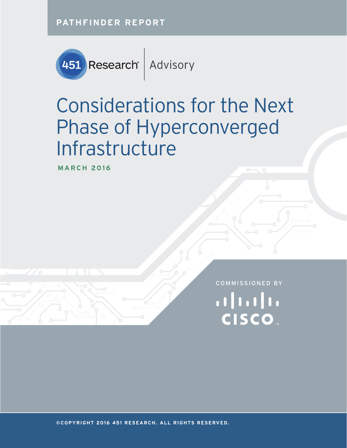**PATHFINDER REPORT**



# Considerations for the Next Phase of Hyperconverged Infrastructure

**MARCH 2016**

COMMISSIONED BY $||||||||||||||$ **CISCO** 

**©COPYRIGHT 2016 451 RESEARCH. ALL RIGHTS RESERVED.**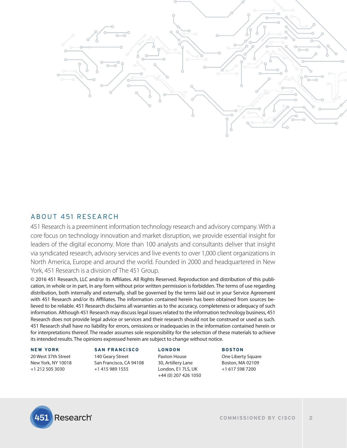

## ABOUT 451 RESEARCH

451 Research is a preeminent information technology research and advisory company. With a core focus on technology innovation and market disruption, we provide essential insight for leaders of the digital economy. More than 100 analysts and consultants deliver that insight via syndicated research, advisory services and live events to over 1,000 client organizations in North America, Europe and around the world. Founded in 2000 and headquartered in New York, 451 Research is a division of The 451 Group.

© 2016 451 Research, LLC and/or its Affiliates. All Rights Reserved. Reproduction and distribution of this publication, in whole or in part, in any form without prior written permission is forbidden. The terms of use regarding distribution, both internally and externally, shall be governed by the terms laid out in your Service Agreement with 451 Research and/or its Affiliates. The information contained herein has been obtained from sources believed to be reliable. 451 Research disclaims all warranties as to the accuracy, completeness or adequacy of such information. Although 451 Research may discuss legal issues related to the information technology business, 451 Research does not provide legal advice or services and their research should not be construed or used as such. 451 Research shall have no liability for errors, omissions or inadequacies in the information contained herein or for interpretations thereof. The reader assumes sole responsibility for the selection of these materials to achieve its intended results. The opinions expressed herein are subject to change without notice.

#### **NEW YORK**

20 West 37th Street New York, NY 10018 +1 212 505 3030

#### **SAN FRANCISCO**

140 Geary Street San Francisco, CA 94108 +1 415 989 1555

#### **LONDON**

Paxton House 30, Artillery Lane London, E1 7LS, UK +44 (0) 207 426 1050

#### **BOSTON**

One Liberty Square Boston, MA 02109 +1 617 598 7200

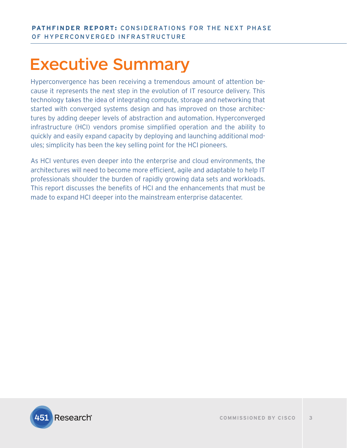## Executive Summary

Hyperconvergence has been receiving a tremendous amount of attention because it represents the next step in the evolution of IT resource delivery. This technology takes the idea of integrating compute, storage and networking that started with converged systems design and has improved on those architectures by adding deeper levels of abstraction and automation. Hyperconverged infrastructure (HCI) vendors promise simplified operation and the ability to quickly and easily expand capacity by deploying and launching additional modules; simplicity has been the key selling point for the HCI pioneers.

As HCI ventures even deeper into the enterprise and cloud environments, the architectures will need to become more efficient, agile and adaptable to help IT professionals shoulder the burden of rapidly growing data sets and workloads. This report discusses the benefits of HCI and the enhancements that must be made to expand HCI deeper into the mainstream enterprise datacenter.

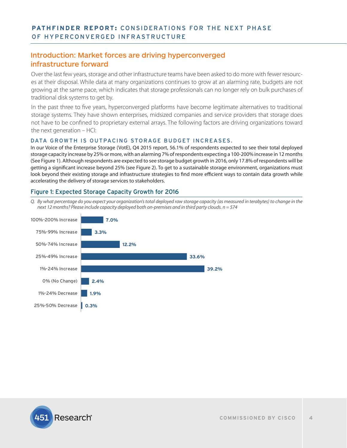## Introduction: Market forces are driving hyperconverged infrastructure forward

Over the last few years, storage and other infrastructure teams have been asked to do more with fewer resources at their disposal. While data at many organizations continues to grow at an alarming rate, budgets are not growing at the same pace, which indicates that storage professionals can no longer rely on bulk purchases of traditional disk systems to get by.

In the past three to five years, hyperconverged platforms have become legitimate alternatives to traditional storage systems. They have shown enterprises, midsized companies and service providers that storage does not have to be confined to proprietary external arrays. The following factors are driving organizations toward the next generation – HCI:

#### DATA GROWTH IS OUTPACING STORAGE BUDGET INCREASES.

In our Voice of the Enterprise Storage (VotE), Q4 2015 report, 56.1% of respondents expected to see their total deployed storage capacity increase by 25% or more, with an alarming 7% of respondents expecting a 100-200% increase in 12 months (See Figure 1). Although respondents are expected to see storage budget growth in 2016, only 17.8% of respondents will be getting a significant increase beyond 25% (see Figure 2). To get to a sustainable storage environment, organizations must look beyond their existing storage and infrastructure strategies to find more efficient ways to contain data growth while accelerating the delivery of storage services to stakeholders.

#### Figure 1: Expected Storage Capacity Growth for 2016

*Q. By what percentage do you expect your organization's total deployed raw storage capacity (as measured in terabytes) to change in the next 12 months? Please include capacity deployed both on-premises and in third party clouds. n = 574*



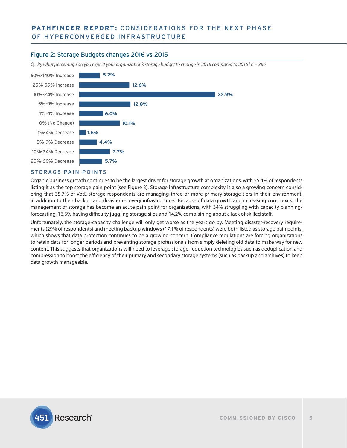## Figure 2: Storage Budgets changes 2016 vs 2015

*Q. By what percentage do you expect your organization's storage budget to change in 2016 compared to 2015? n = 366*



#### STORAGE PAIN POINTS

Organic business growth continues to be the largest driver for storage growth at organizations, with 55.4% of respondents listing it as the top storage pain point (see Figure 3). Storage infrastructure complexity is also a growing concern considering that 35.7% of VotE storage respondents are managing three or more primary storage tiers in their environment, in addition to their backup and disaster recovery infrastructures. Because of data growth and increasing complexity, the management of storage has become an acute pain point for organizations, with 34% struggling with capacity planning/ forecasting, 16.6% having difficulty juggling storage silos and 14.2% complaining about a lack of skilled staff.

Unfortunately, the storage-capacity challenge will only get worse as the years go by. Meeting disaster-recovery requirements (29% of respondents) and meeting backup windows (17.1% of respondents) were both listed as storage pain points, which shows that data protection continues to be a growing concern. Compliance regulations are forcing organizations to retain data for longer periods and preventing storage professionals from simply deleting old data to make way for new content. This suggests that organizations will need to leverage storage-reduction technologies such as deduplication and compression to boost the efficiency of their primary and secondary storage systems (such as backup and archives) to keep data growth manageable.

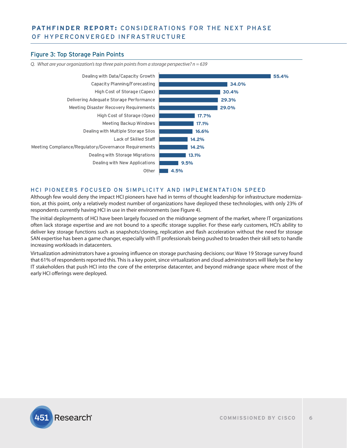#### Figure 3: Top Storage Pain Points



*Q. What are your organization's top three pain points from a storage perspective? n = 639*

#### HCI PIONEERS FOCUSED ON SIMPLICITY AND IMPLEMENTATION SPEED

Although few would deny the impact HCI pioneers have had in terms of thought leadership for infrastructure modernization, at this point, only a relatively modest number of organizations have deployed these technologies, with only 23% of respondents currently having HCI in use in their environments (see Figure 4).

The initial deployments of HCI have been largely focused on the midrange segment of the market, where IT organizations often lack storage expertise and are not bound to a specific storage supplier. For these early customers, HCI's ability to deliver key storage functions such as snapshots/cloning, replication and flash acceleration without the need for storage SAN expertise has been a game changer, especially with IT professionals being pushed to broaden their skill sets to handle increasing workloads in datacenters.

Virtualization administrators have a growing influence on storage purchasing decisions; our Wave 19 Storage survey found that 61% of respondents reported this. This is a key point, since virtualization and cloud administrators will likely be the key IT stakeholders that push HCI into the core of the enterprise datacenter, and beyond midrange space where most of the early HCI offerings were deployed.

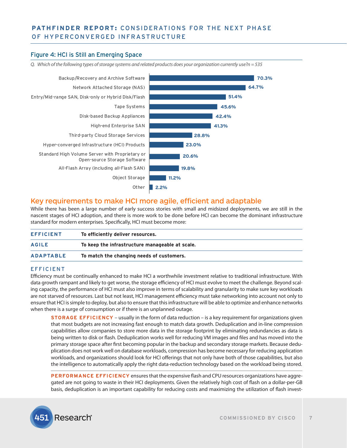## Figure 4: HCI is Still an Emerging Space





## Key requirements to make HCI more agile, efficient and adaptable

While there has been a large number of early success stories with small and midsized deployments, we are still in the nascent stages of HCI adoption, and there is more work to be done before HCI can become the dominant infrastructure standard for modern enterprises. Specifically, HCI must become more:

| <b>EFFICIENT</b> | To efficiently deliver resources.               |
|------------------|-------------------------------------------------|
| <b>AGILE</b>     | To keep the infrastructure manageable at scale. |
| <b>ADAPTABLE</b> | To match the changing needs of customers.       |

#### EFFICIENT

Efficiency must be continually enhanced to make HCI a worthwhile investment relative to traditional infrastructure. With data growth rampant and likely to get worse, the storage efficiency of HCI must evolve to meet the challenge. Beyond scaling capacity, the performance of HCI must also improve in terms of scalability and granularity to make sure key workloads are not starved of resources. Last but not least, HCI management efficiency must take networking into account not only to ensure that HCI is simple to deploy, but also to ensure that this infrastructure will be able to optimize and enhance networks when there is a surge of consumption or if there is an unplanned outage.

**STORAGE EFFICIENCY** – usually in the form of data reduction – is a key requirement for organizations given that most budgets are not increasing fast enough to match data growth. Deduplication and in-line compression capabilities allow companies to store more data in the storage footprint by eliminating redundancies as data is being written to disk or flash. Deduplication works well for reducing VM images and files and has moved into the primary storage space after first becoming popular in the backup and secondary storage markets. Because deduplication does not work well on database workloads, compression has become necessary for reducing application workloads, and organizations should look for HCI offerings that not only have both of those capabilities, but also the intelligence to automatically apply the right data-reduction technology based on the workload being stored.

**PERFORMANCE EFFICIENCY** ensures that the expensive flash and CPU resources organizations have aggregated are not going to waste in their HCI deployments. Given the relatively high cost of flash on a dollar-per-GB basis, deduplication is an important capability for reducing costs and maximizing the utilization of flash invest-

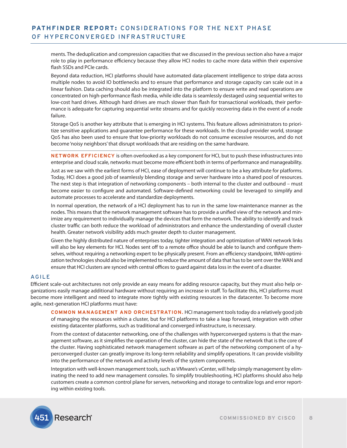ments. The deduplication and compression capacities that we discussed in the previous section also have a major role to play in performance efficiency because they allow HCI nodes to cache more data within their expensive flash SSDs and PCIe cards.

Beyond data reduction, HCI platforms should have automated data-placement intelligence to stripe data across multiple nodes to avoid IO bottlenecks and to ensure that performance and storage capacity can scale out in a linear fashion. Data caching should also be integrated into the platform to ensure write and read operations are concentrated on high-performance flash media, while idle data is seamlessly destaged using sequential writes to low-cost hard drives. Although hard drives are much slower than flash for transactional workloads, their performance is adequate for capturing sequential write streams and for quickly recovering data in the event of a node failure.

Storage QoS is another key attribute that is emerging in HCI systems. This feature allows administrators to prioritize sensitive applications and guarantee performance for these workloads. In the cloud-provider world, storage QoS has also been used to ensure that low-priority workloads do not consume excessive resources, and do not become 'noisy neighbors' that disrupt workloads that are residing on the same hardware.

**NETWORK EFFICIENCY** is often overlooked as a key component for HCI, but to push these infrastructures into enterprise and cloud scale, networks must become more efficient both in terms of performance and manageability.

Just as we saw with the earliest forms of HCI, ease of deployment will continue to be a key attribute for platforms. Today, HCI does a good job of seamlessly blending storage and server hardware into a shared pool of resources. The next step is that integration of networking components – both internal to the cluster and outbound – must become easier to configure and automated. Software-defined networking could be leveraged to simplify and automate processes to accelerate and standardize deployments.

In normal operation, the network of a HCI deployment has to run in the same low-maintenance manner as the nodes. This means that the network management software has to provide a unified view of the network and minimize any requirement to individually manage the devices that form the network. The ability to identify and track cluster traffic can both reduce the workload of administrators and enhance the understanding of overall cluster health. Greater network visibility adds much greater depth to cluster management.

Given the highly distributed nature of enterprises today, tighter integration and optimization of WAN network links will also be key elements for HCI. Nodes sent off to a remote office should be able to launch and configure themselves, without requiring a networking expert to be physically present. From an efficiency standpoint, WAN-optimization technologies should also be implemented to reduce the amount of data that has to be sent over the WAN and ensure that HCI clusters are synced with central offices to guard against data loss in the event of a disaster.

#### AGILE

Efficient scale-out architectures not only provide an easy means for adding resource capacity, but they must also help organizations easily manage additional hardware without requiring an increase in staff. To facilitate this, HCI platforms must become more intelligent and need to integrate more tightly with existing resources in the datacenter. To become more agile, next-generation HCI platforms must have:

**COMMON MANAGEMENT AND ORCHESTRATION.** HCI management tools today do a relatively good job of managing the resources within a cluster, but for HCI platforms to take a leap forward, integration with other existing datacenter platforms, such as traditional and converged infrastructure, is necessary.

From the context of datacenter networking, one of the challenges with hyperconverged systems is that the management software, as it simplifies the operation of the cluster, can hide the state of the network that is the core of the cluster. Having sophisticated network management software as part of the networking component of a hyperconverged cluster can greatly improve its long-term reliability and simplify operations. It can provide visibility into the performance of the network and activity levels of the system components.

Integration with well-known management tools, such as VMware's vCenter, will help simply management by eliminating the need to add new management consoles. To simplify troubleshooting, HCI platforms should also help customers create a common control plane for servers, networking and storage to centralize logs and error reporting within existing tools.

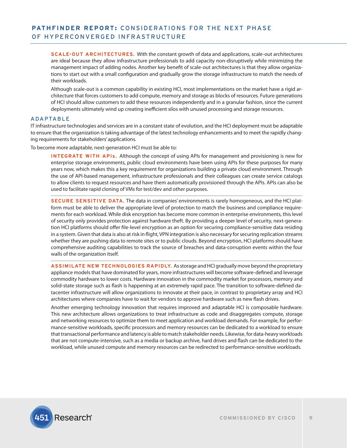**SCALE-OUT ARCHITECTURES.** With the constant growth of data and applications, scale-out architectures are ideal because they allow infrastructure professionals to add capacity non-disruptively while minimizing the management impact of adding nodes. Another key benefit of scale-out architectures is that they allow organizations to start out with a small configuration and gradually grow the storage infrastructure to match the needs of their workloads.

Although scale-out is a common capability in existing HCI, most implementations on the market have a rigid architecture that forces customers to add compute, memory and storage as blocks of resources. Future generations of HCI should allow customers to add these resources independently and in a granular fashion, since the current deployments ultimately wind up creating inefficient silos with unused processing and storage resources.

#### ADAPTABLE

IT infrastructure technologies and services are in a constant state of evolution, and the HCI deployment must be adaptable to ensure that the organization is taking advantage of the latest technology enhancements and to meet the rapidly changing requirements for stakeholders' applications.

To become more adaptable, next-generation HCI must be able to:

**INTEGRATE WITH APIs.** Although the concept of using APIs for management and provisioning is new for enterprise storage environments, public cloud environments have been using APIs for these purposes for many years now, which makes this a key requirement for organizations building a private cloud environment. Through the use of API-based management, infrastructure professionals and their colleagues can create service catalogs to allow clients to request resources and have them automatically provisioned through the APIs. APIs can also be used to facilitate rapid cloning of VMs for test/dev and other purposes.

**SECURE SENSITIVE DATA.** The data in companies' environments is rarely homogeneous, and the HCI platform must be able to deliver the appropriate level of protection to match the business and compliance requirements for each workload. While disk encryption has become more common in enterprise environments, this level of security only provides protection against hardware theft. By providing a deeper level of security, next-generation HCI platforms should offer file-level encryption as an option for securing compliance-sensitive data residing in a system. Given that data is also at risk in flight, VPN integration is also necessary for securing replication streams whether they are pushing data to remote sites or to public clouds. Beyond encryption, HCI platforms should have comprehensive auditing capabilities to track the source of breaches and data-corruption events within the four walls of the organization itself.

**ASSIMILATE NEW TECHNOLOGIES RAPIDLY.** As storage and HCI gradually move beyond the proprietary appliance models that have dominated for years, more infrastructures will become software-defined and leverage commodity hardware to lower costs. Hardware innovation in the commodity market for processors, memory and solid-state storage such as flash is happening at an extremely rapid pace. The transition to software-defined datacenter infrastructure will allow organizations to innovate at their pace, in contrast to proprietary array and HCI architectures where companies have to wait for vendors to approve hardware such as new flash drives.

Another emerging technology innovation that requires improved and adaptable HCI is composable hardware. This new architecture allows organizations to treat infrastructure as code and disaggregates compute, storage and networking resources to optimize them to meet application and workload demands. For example, for performance-sensitive workloads, specific processors and memory resources can be dedicated to a workload to ensure that transactional performance and latency is able to match stakeholder needs. Likewise, for data-heavy workloads that are not compute-intensive, such as a media or backup archive, hard drives and flash can be dedicated to the workload, while unused compute and memory resources can be redirected to performance-sensitive workloads.

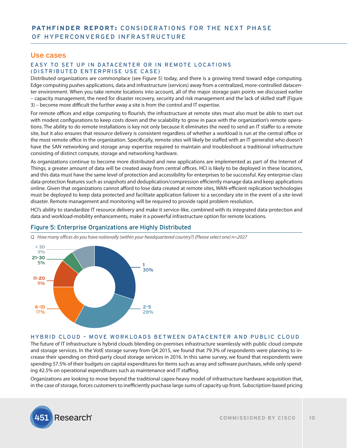#### Use cases

#### EASY TO SET UP IN DATACENTER OR IN REMOTE LOCATIONS (DISTRIBUTED ENTERPRISE USE CASE)

Distributed organizations are commonplace (see Figure 5) today, and there is a growing trend toward edge computing. Edge computing pushes applications, data and infrastructure (services) away from a centralized, more-controlled datacenter environment. When you take remote locations into account, all of the major storage pain points we discussed earlier – capacity management, the need for disaster recovery, security and risk management and the lack of skilled staff (Figure 3) – become more difficult the further away a site is from the control and IT expertise.

For remote offices and edge computing to flourish, the infrastructure at remote sites must also must be able to start out with modest configurations to keep costs down and the scalability to grow in pace with the organization's remote operations. The ability to do remote installations is key not only because it eliminates the need to send an IT staffer to a remote site, but it also ensures that resource delivery is consistent regardless of whether a workload is run at the central office or the most remote office in the organization. Specifically, remote sites will likely be staffed with an IT generalist who doesn't have the SAN networking and storage array expertise required to maintain and troubleshoot a traditional infrastructure consisting of distinct compute, storage and networking hardware.

As organizations continue to become more distributed and new applications are implemented as part of the Internet of Things, a greater amount of data will be created away from central offices. HCI is likely to be deployed in these locations, and this data must have the same level of protection and accessibility for enterprises to be successful. Key enterprise-class data-protection features such as snapshots and deduplication/compression efficiently manage data and keep applications online. Given that organizations cannot afford to lose data created at remote sites, WAN-efficient replication technologies must be deployed to keep data protected and facilitate application failover to a secondary site in the event of a site-level disaster. Remote management and monitoring will be required to provide rapid problem resolution.

HCI's ability to standardize IT resource delivery and make it service-like, combined with its integrated data-protection and data and workload-mobility enhancements, make it a powerful infrastructure option for remote locations.

## Figure 5: Enterprise Organizations are Highly Distributed



*Q. How many offices do you have nationally (within your headquartered country?) (Please select one) n=2027*

#### HYBRID CLOUD – MOVE WORKLOADS BETWEEN DATACENTER AND PUBLIC CLOUD

The future of IT infrastructure is hybrid clouds blending on-premises infrastructure seamlessly with public cloud compute and storage services. In the VotE storage survey from Q4 2015, we found that 79.3% of respondents were planning to increase their spending on third-party cloud storage services in 2016. In this same survey, we found that respondents were spending 57.5% of their budgets on capital expenditures for items such as array and software purchases, while only spending 42.5% on operational expenditures such as maintenance and IT staffing.

Organizations are looking to move beyond the traditional capex-heavy model of infrastructure hardware acquisition that, in the case of storage, forces customers to inefficiently purchase large sums of capacity up front. Subscription-based pricing

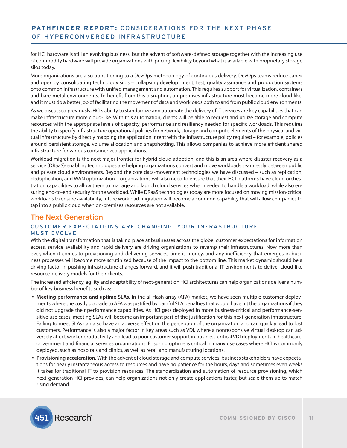for HCI hardware is still an evolving business, but the advent of software-defined storage together with the increasing use of commodity hardware will provide organizations with pricing flexibility beyond what is available with proprietary storage silos today.

More organizations are also transitioning to a DevOps methodology of continuous delivery. DevOps teams reduce capex and opex by consolidating technology silos – collapsing develop¬ment, test, quality assurance and production systems onto common infrastructure with unified management and automation. This requires support for virtualization, containers and bare-metal environments. To benefit from this disruption, on-premises infrastructure must become more cloud-like, and it must do a better job of facilitating the movement of data and workloads both to and from public cloud environments.

As we discussed previously, HCI's ability to standardize and automate the delivery of IT services are key capabilities that can make infrastructure more cloud-like. With this automation, clients will be able to request and utilize storage and compute resources with the appropriate levels of capacity, performance and resiliency needed for specific workloads. This requires the ability to specify infrastructure operational policies for network, storage and compute elements of the physical and virtual infrastructure by directly mapping the application intent with the infrastructure policy required – for example, policies around persistent storage, volume allocation and snapshotting. This allows companies to achieve more efficient shared infrastructure for various containerized applications.

Workload migration is the next major frontier for hybrid cloud adoption, and this is an area where disaster recovery as a service (DRaaS)-enabling technologies are helping organizations convert and move workloads seamlessly between public and private cloud environments. Beyond the core data-movement technologies we have discussed – such as replication, deduplication, and WAN optimization – organizations will also need to ensure that their HCI platforms have cloud orchestration capabilities to allow them to manage and launch cloud services when needed to handle a workload, while also ensuring end-to-end security for the workload. While DRaaS technologies today are more focused on moving mission-critical workloads to ensure availability, future workload migration will become a common capability that will allow companies to tap into a public cloud when on-premises resources are not available.

## The Next Generation CUSTOMER EXPECTATIONS ARE CHANGING; YOUR INFRASTRUCTURE **MUST EVOLVE**

With the digital transformation that is taking place at businesses across the globe, customer expectations for information access, service availability and rapid delivery are driving organizations to revamp their infrastructures. Now more than ever, when it comes to provisioning and delivering services, time is money, and any inefficiency that emerges in business processes will become more scrutinized because of the impact to the bottom line. This market dynamic should be a driving factor in pushing infrastructure changes forward, and it will push traditional IT environments to deliver cloud-like resource-delivery models for their clients.

The increased efficiency, agility and adaptability of next-generation HCI architectures can help organizations deliver a number of key business benefits such as:

- **Meeting performance and uptime SLAs.** In the all-flash array (AFA) market, we have seen multiple customer deployments where the costly upgrade to AFA was justified by painful SLA penalties that would have hit the organizations if they did not upgrade their performance capabilities. As HCI gets deployed in more business-critical and performance-sensitive use cases, meeting SLAs will become an important part of the justification for this next-generation infrastructure. Failing to meet SLAs can also have an adverse effect on the perception of the organization and can quickly lead to lost customers. Performance is also a major factor in key areas such as VDI, where a nonresponsive virtual desktop can adversely affect worker productivity and lead to poor customer support in business-critical VDI deployments in healthcare, government and financial services organizations. Ensuring uptime is critical in many use cases where HCI is commonly deployed, such as hospitals and clinics, as well as retail and manufacturing locations.
- **Provisioning acceleration.** With the advent of cloud storage and compute services, business stakeholders have expectations for nearly instantaneous access to resources and have no patience for the hours, days and sometimes even weeks it takes for traditional IT to provision resources. The standardization and automation of resource provisioning, which next-generation HCI provides, can help organizations not only create applications faster, but scale them up to match rising demand.